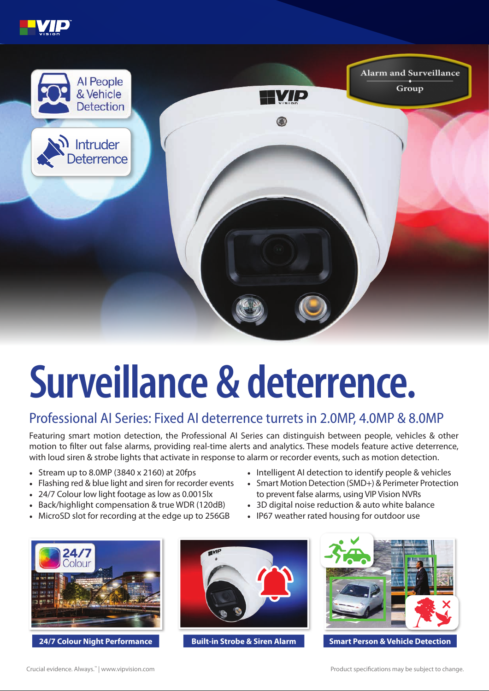



## **Surveillance & deterrence.**

## Professional AI Series: Fixed AI deterrence turrets in 2.0MP, 4.0MP & 8.0MP

Featuring smart motion detection, the Professional AI Series can distinguish between people, vehicles & other motion to filter out false alarms, providing real-time alerts and analytics. These models feature active deterrence, with loud siren & strobe lights that activate in response to alarm or recorder events, such as motion detection.

- Stream up to 8.0MP (3840 x 2160) at 20fps
- Flashing red & blue light and siren for recorder events
- 24/7 Colour low light footage as low as 0.0015lx
- Back/highlight compensation & true WDR (120dB)
- MicroSD slot for recording at the edge up to 256GB
- Intelligent AI detection to identify people & vehicles
- Smart Motion Detection (SMD+) & Perimeter Protection to prevent false alarms, using VIP Vision NVRs
- 3D digital noise reduction & auto white balance
- IP67 weather rated housing for outdoor use



**24/7 Colour Night Performance Built-in Strobe & Siren Alarm**





**Smart Person & Vehicle Detection**